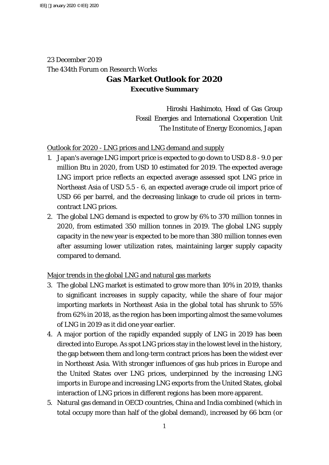# 23 December 2019 The 434th Forum on Research Works **Gas Market Outlook for 2020 Executive Summary**

Hiroshi Hashimoto, Head of Gas Group Fossil Energies and International Cooperation Unit The Institute of Energy Economics, Japan

## Outlook for 2020 - LNG prices and LNG demand and supply

- 1. Japan's average LNG import price is expected to go down to USD 8.8 9.0 per million Btu in 2020, from USD 10 estimated for 2019. The expected average LNG import price reflects an expected average assessed spot LNG price in Northeast Asia of USD 5.5 - 6, an expected average crude oil import price of USD 66 per barrel, and the decreasing linkage to crude oil prices in termcontract LNG prices.
- 2. The global LNG demand is expected to grow by 6% to 370 million tonnes in 2020, from estimated 350 million tonnes in 2019. The global LNG supply capacity in the new year is expected to be more than 380 million tonnes even after assuming lower utilization rates, maintaining larger supply capacity compared to demand.

## Major trends in the global LNG and natural gas markets

- 3. The global LNG market is estimated to grow more than 10% in 2019, thanks to significant increases in supply capacity, while the share of four major importing markets in Northeast Asia in the global total has shrunk to 55% from 62% in 2018, as the region has been importing almost the same volumes of LNG in 2019 as it did one year earlier.
- 4. A major portion of the rapidly expanded supply of LNG in 2019 has been directed into Europe. As spot LNG prices stay in the lowest level in the history, the gap between them and long-term contract prices has been the widest ever in Northeast Asia. With stronger influences of gas hub prices in Europe and the United States over LNG prices, underpinned by the increasing LNG imports in Europe and increasing LNG exports from the United States, global interaction of LNG prices in different regions has been more apparent.
- 5. Natural gas demand in OECD countries, China and India combined (which in total occupy more than half of the global demand), increased by 66 bcm (or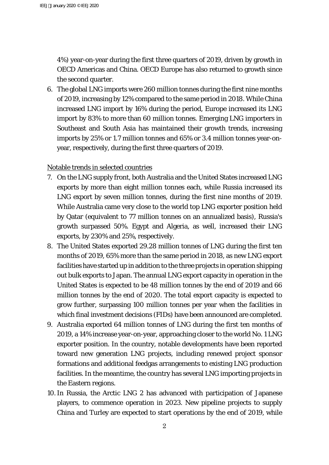4%) year-on-year during the first three quarters of 2019, driven by growth in OECD Americas and China. OECD Europe has also returned to growth since the second quarter.

6. The global LNG imports were 260 million tonnes during the first nine months of 2019, increasing by 12% compared to the same period in 2018. While China increased LNG import by 16% during the period, Europe increased its LNG import by 83% to more than 60 million tonnes. Emerging LNG importers in Southeast and South Asia has maintained their growth trends, increasing imports by 25% or 1.7 million tonnes and 65% or 3.4 million tonnes year-onyear, respectively, during the first three quarters of 2019.

Notable trends in selected countries

- 7. On the LNG supply front, both Australia and the United States increased LNG exports by more than eight million tonnes each, while Russia increased its LNG export by seven million tonnes, during the first nine months of 2019. While Australia came very close to the world top LNG exporter position held by Qatar (equivalent to 77 million tonnes on an annualized basis), Russia's growth surpassed 50%. Egypt and Algeria, as well, increased their LNG exports, by 230% and 25%, respectively.
- 8. The United States exported 29.28 million tonnes of LNG during the first ten months of 2019, 65% more than the same period in 2018, as new LNG export facilities have started up in addition to the three projects in operation shipping out bulk exports to Japan. The annual LNG export capacity in operation in the United States is expected to be 48 million tonnes by the end of 2019 and 66 million tonnes by the end of 2020. The total export capacity is expected to grow further, surpassing 100 million tonnes per year when the facilities in which final investment decisions (FIDs) have been announced are completed.
- 9. Australia exported 64 million tonnes of LNG during the first ten months of 2019, a 14% increase year-on-year, approaching closer to the world No. 1 LNG exporter position. In the country, notable developments have been reported toward new generation LNG projects, including renewed project sponsor formations and additional feedgas arrangements to existing LNG production facilities. In the meantime, the country has several LNG importing projects in the Eastern regions.
- 10.In Russia, the Arctic LNG 2 has advanced with participation of Japanese players, to commence operation in 2023. New pipeline projects to supply China and Turley are expected to start operations by the end of 2019, while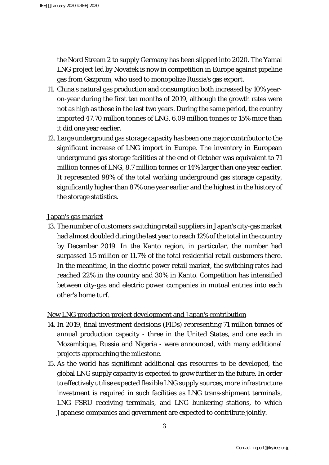the Nord Stream 2 to supply Germany has been slipped into 2020. The Yamal LNG project led by Novatek is now in competition in Europe against pipeline gas from Gazprom, who used to monopolize Russia's gas export.

- 11. China's natural gas production and consumption both increased by 10% yearon-year during the first ten months of 2019, although the growth rates were not as high as those in the last two years. During the same period, the country imported 47.70 million tonnes of LNG, 6.09 million tonnes or 15% more than it did one year earlier.
- 12. Large underground gas storage capacity has been one major contributor to the significant increase of LNG import in Europe. The inventory in European underground gas storage facilities at the end of October was equivalent to 71 million tonnes of LNG, 8.7 million tonnes or 14% larger than one year earlier. It represented 98% of the total working underground gas storage capacity, significantly higher than 87% one year earlier and the highest in the history of the storage statistics.

#### Japan's gas market

13. The number of customers switching retail suppliers in Japan's city-gas market had almost doubled during the last year to reach 12% of the total in the country by December 2019. In the Kanto region, in particular, the number had surpassed 1.5 million or 11.7% of the total residential retail customers there. In the meantime, in the electric power retail market, the switching rates had reached 22% in the country and 30% in Kanto. Competition has intensified between city-gas and electric power companies in mutual entries into each other's home turf.

### New LNG production project development and Japan's contribution

- 14. In 2019, final investment decisions (FIDs) representing 71 million tonnes of annual production capacity - three in the United States, and one each in Mozambique, Russia and Nigeria - were announced, with many additional projects approaching the milestone.
- 15. As the world has significant additional gas resources to be developed, the global LNG supply capacity is expected to grow further in the future. In order to effectively utilise expected flexible LNG supply sources, more infrastructure investment is required in such facilities as LNG trans-shipment terminals, LNG FSRU receiving terminals, and LNG bunkering stations, to which Japanese companies and government are expected to contribute jointly.